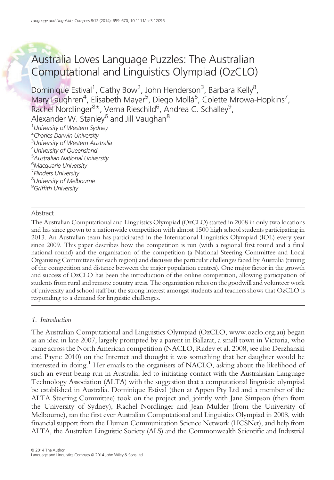# Australia Loves Language Puzzles: The Australian Computational and Linguistics Olympiad (OzCLO)

Dominique Estival<sup>1</sup>, Cathy Bow<sup>2</sup>, John Henderson<sup>3</sup>, Barbara Kelly<sup>8</sup>, Mary Laughren<sup>4</sup>, Elisabeth Mayer<sup>5</sup>, Diego Mollá<sup>6</sup>, Colette Mrowa-Hopkins<sup>7</sup>, Rachel Nordlinger<sup>8\*</sup>, Verna Rieschild<sup>6</sup>, Andrea C. Schalley<sup>9</sup>,

Alexander W. Stanley<sup>6</sup> and Jill Vaughan<sup>8</sup>

<sup>1</sup> University of Western Sydney <sup>2</sup> Charles Darwin University <sup>3</sup>University of Western Australia

<sup>4</sup>University of Queensland

5 Australian National University

<sup>6</sup>Macquarie University

<sup>7</sup> Flinders University

<sup>8</sup>University of Melbourne

<sup>9</sup>Griffith University

## **Abstract**

The Australian Computational and Linguistics Olympiad (OzCLO) started in 2008 in only two locations and has since grown to a nationwide competition with almost 1500 high school students participating in 2013. An Australian team has participated in the International Linguistics Olympiad (IOL) every year since 2009. This paper describes how the competition is run (with a regional first round and a final national round) and the organisation of the competition (a National Steering Committee and Local Organising Committees for each region) and discusses the particular challenges faced by Australia (timing of the competition and distance between the major population centres). One major factor in the growth and success of OzCLO has been the introduction of the online competition, allowing participation of students from rural and remote country areas. The organisation relies on the goodwill and volunteer work of university and school staff but the strong interest amongst students and teachers shows that OzCLO is responding to a demand for linguistic challenges.

## 1. Introduction

The Australian Computational and Linguistics Olympiad (OzCLO, [www.ozclo.org.au](http://www.ozclo.org.au)) began as an idea in late 2007, largely prompted by a parent in Ballarat, a small town in Victoria, who came across the North American competition (NACLO, Radev et al. 2008, see also Derzhanski and Payne 2010) on the Internet and thought it was something that her daughter would be interested in doing.<sup>1</sup> Her emails to the organisers of NACLO, asking about the likelihood of such an event being run in Australia, led to initiating contact with the Australasian Language Technology Association (ALTA) with the suggestion that a computational linguistic olympiad be established in Australia. Dominique Estival (then at Appen Pty Ltd and a member of the ALTA Steering Committee) took on the project and, jointly with Jane Simpson (then from the University of Sydney), Rachel Nordlinger and Jean Mulder (from the University of Melbourne), ran the first ever Australian Computational and Linguistics Olympiad in 2008, with financial support from the Human Communication Science Network (HCSNet), and help from ALTA, the Australian Linguistic Society (ALS) and the Commonwealth Scientific and Industrial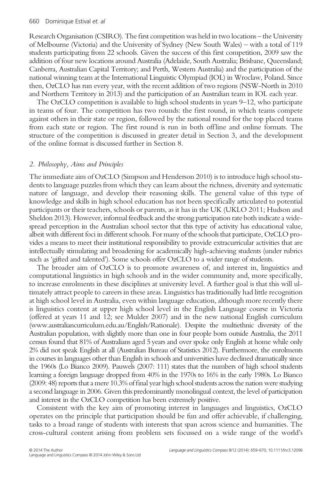Research Organisation (CSIRO). The first competition was held in two locations – the University of Melbourne (Victoria) and the University of Sydney (New South Wales) – with a total of 119 students participating from 22 schools. Given the success of this first competition, 2009 saw the addition of four new locations around Australia (Adelaide, South Australia; Brisbane, Queensland; Canberra, Australian Capital Territory; and Perth, Western Australia) and the participation of the national winning team at the International Linguistic Olympiad (IOL) in Wroclaw, Poland. Since then, OzCLO has run every year, with the recent addition of two regions (NSW-North in 2010 and Northern Territory in 2013) and the participation of an Australian team in IOL each year.

The OzCLO competition is available to high school students in years 9–12, who participate in teams of four. The competition has two rounds: the first round, in which teams compete against others in their state or region, followed by the national round for the top placed teams from each state or region. The first round is run in both off line and online formats. The structure of the competition is discussed in greater detail in Section 3, and the development of the online format is discussed further in Section 8.

# 2. Philosophy, Aims and Principles

The immediate aim of OzCLO (Simpson and Henderson 2010) is to introduce high school students to language puzzles from which they can learn about the richness, diversity and systematic nature of language, and develop their reasoning skills. The general value of this type of knowledge and skills in high school education has not been specifically articulated to potential participants or their teachers, schools or parents, as it has in the UK (UKLO 2011; Hudson and Sheldon 2013). However, informal feedback and the strong participation rate both indicate a widespread perception in the Australian school sector that this type of activity has educational value, albeit with different foci in different schools. For many of the schools that participate, OzCLO provides a means to meet their institutional responsibility to provide extracurricular activities that are intellectually stimulating and broadening for academically high-achieving students (under rubrics such as 'gifted and talented'). Some schools offer OzCLO to a wider range of students.

The broader aim of OzCLO is to promote awareness of, and interest in, linguistics and computational linguistics in high schools and in the wider community and, more specifically, to increase enrolments in these disciplines at university level. A further goal is that this will ultimately attract people to careers in these areas. Linguistics has traditionally had little recognition at high school level in Australia, even within language education, although more recently there is linguistics content at upper high school level in the English Language course in Victoria (offered at years 11 and 12; see Mulder 2007) and in the new national English curriculum [\(www.australiancurriculum.edu.au/English/Rationale\)](http://www.australiancurriculum.edu.au/English/Rationale). Despite the multiethnic diversity of the Australian population, with slightly more than one in four people born outside Australia, the 2011 census found that 81% of Australians aged 5 years and over spoke only English at home while only 2% did not speak English at all (Australian Bureau of Statistics 2012). Furthermore, the enrolments in courses in languages other than English in schools and universities have declined dramatically since the 1960s (Lo Bianco 2009). Pauwels (2007: 111) states that the numbers of high school students learning a foreign language dropped from 40% in the 1970s to 16% in the early 1980s. Lo Bianco (2009: 48) reports that a mere 10.3% of final year high school students across the nation were studying a second language in 2006. Given this predominantly monolingual context, the level of participation and interest in the OzCLO competition has been extremely positive.

Consistent with the key aim of promoting interest in languages and linguistics, OzCLO operates on the principle that participation should be fun and offer achievable, if challenging, tasks to a broad range of students with interests that span across science and humanities. The cross-cultural content arising from problem sets focussed on a wide range of the world's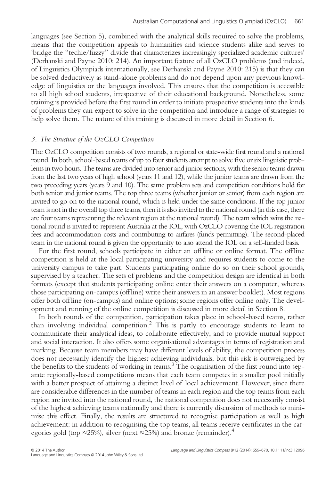languages (see Section 5), combined with the analytical skills required to solve the problems, means that the competition appeals to humanities and science students alike and serves to 'bridge the "techie/fuzzy" divide that characterizes increasingly specialized academic cultures' (Derhanski and Payne 2010: 214). An important feature of all OzCLO problems (and indeed, of Linguistics Olympiads internationally, see Derhanski and Payne 2010: 215) is that they can be solved deductively as stand-alone problems and do not depend upon any previous knowledge of linguistics or the languages involved. This ensures that the competition is accessible to all high school students, irrespective of their educational background. Nonetheless, some training is provided before the first round in order to initiate prospective students into the kinds of problems they can expect to solve in the competition and introduce a range of strategies to help solve them. The nature of this training is discussed in more detail in Section 6.

## 3. The Structure of the OzCLO Competition

The OzCLO competition consists of two rounds, a regional or state-wide first round and a national round. In both, school-based teams of up to four students attempt to solve five or six linguistic problems in two hours. The teams are divided into senior and junior sections, with the senior teams drawn from the last two years of high school (years 11 and 12), while the junior teams are drawn from the two preceding years (years 9 and 10). The same problem sets and competition conditions hold for both senior and junior teams. The top three teams (whether junior or senior) from each region are invited to go on to the national round, which is held under the same conditions. If the top junior team is not in the overall top three teams, then it is also invited to the national round (in this case, there are four teams representing the relevant region at the national round). The team which wins the national round is invited to represent Australia at the IOL, with OzCLO covering the IOL registration fees and accommodation costs and contributing to airfares (funds permitting). The second-placed team in the national round is given the opportunity to also attend the IOL on a self-funded basis.

For the first round, schools participate in either an off line or online format. The off line competition is held at the local participating university and requires students to come to the university campus to take part. Students participating online do so on their school grounds, supervised by a teacher. The sets of problems and the competition design are identical in both formats (except that students participating online enter their answers on a computer, whereas those participating on-campus (off line) write their answers in an answer booklet). Most regions offer both off line (on-campus) and online options; some regions offer online only. The development and running of the online competition is discussed in more detail in Section 8.

In both rounds of the competition, participation takes place in school-based teams, rather than involving individual competition.<sup>2</sup> This is partly to encourage students to learn to communicate their analytical ideas, to collaborate effectively, and to provide mutual support and social interaction. It also offers some organisational advantages in terms of registration and marking. Because team members may have different levels of ability, the competition process does not necessarily identify the highest achieving individuals, but this risk is outweighed by the benefits to the students of working in teams.<sup>3</sup> The organisation of the first round into separate regionally-based competitions means that each team competes in a smaller pool initially with a better prospect of attaining a distinct level of local achievement. However, since there are considerable differences in the number of teams in each region and the top teams from each region are invited into the national round, the national competition does not necessarily consist of the highest achieving teams nationally and there is currently discussion of methods to minimise this effect. Finally, the results are structured to recognise participation as well as high achievement: in addition to recognising the top teams, all teams receive certificates in the categories gold (top  $\approx$ 25%), silver (next  $\approx$ 25%) and bronze (remainder).<sup>4</sup>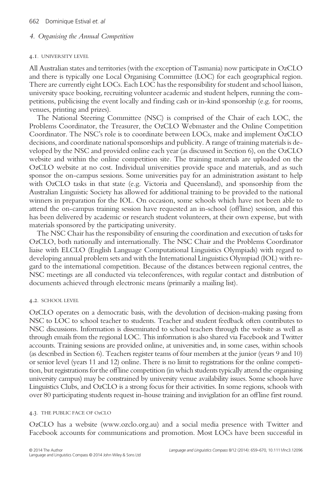# 4. Organising the Annual Competition

#### 4.1. UNIVERSITY LEVEL

All Australian states and territories (with the exception of Tasmania) now participate in OzCLO and there is typically one Local Organising Committee (LOC) for each geographical region. There are currently eight LOCs. Each LOC has the responsibility for student and school liaison, university space booking, recruiting volunteer academic and student helpers, running the competitions, publicising the event locally and finding cash or in-kind sponsorship (e.g. for rooms, venues, printing and prizes).

The National Steering Committee (NSC) is comprised of the Chair of each LOC, the Problems Coordinator, the Treasurer, the OzCLO Webmaster and the Online Competition Coordinator. The NSC's role is to coordinate between LOCs, make and implement OzCLO decisions, and coordinate national sponsorships and publicity. A range of training materials is developed by the NSC and provided online each year (as discussed in Section 6), on the OzCLO website and within the online competition site. The training materials are uploaded on the OzCLO website at no cost. Individual universities provide space and materials, and as such sponsor the on-campus sessions. Some universities pay for an administration assistant to help with OzCLO tasks in that state (e.g. Victoria and Queensland), and sponsorship from the Australian Linguistic Society has allowed for additional training to be provided to the national winners in preparation for the IOL. On occasion, some schools which have not been able to attend the on-campus training session have requested an in-school (off line) session, and this has been delivered by academic or research student volunteers, at their own expense, but with materials sponsored by the participating university.

The NSC Chair has the responsibility of ensuring the coordination and execution of tasks for OzCLO, both nationally and internationally. The NSC Chair and the Problems Coordinator liaise with ELCLO (English Language Computational Linguistics Olympiads) with regard to developing annual problem sets and with the International Linguistics Olympiad (IOL) with regard to the international competition. Because of the distances between regional centres, the NSC meetings are all conducted via teleconferences, with regular contact and distribution of documents achieved through electronic means (primarily a mailing list).

#### 4.2. SCHOOL LEVEL

OzCLO operates on a democratic basis, with the devolution of decision-making passing from NSC to LOC to school teacher to students. Teacher and student feedback often contributes to NSC discussions. Information is disseminated to school teachers through the website as well as through emails from the regional LOC. This information is also shared via Facebook and Twitter accounts. Training sessions are provided online, at universities and, in some cases, within schools (as described in Section 6). Teachers register teams of four members at the junior (years 9 and 10) or senior level (years 11 and 12) online. There is no limit to registrations for the online competition, but registrations for the off line competition (in which students typically attend the organising university campus) may be constrained by university venue availability issues. Some schools have Linguistics Clubs, and OzCLO is a strong focus for their activities. In some regions, schools with over 80 participating students request in-house training and invigilation for an off line first round.

#### 4.3. THE PUBLIC FACE OF OzCLO

OzCLO has a website [\(www.ozclo.org.au\)](http://www.ozclo.org.au) and a social media presence with Twitter and Facebook accounts for communications and promotion. Most LOCs have been successful in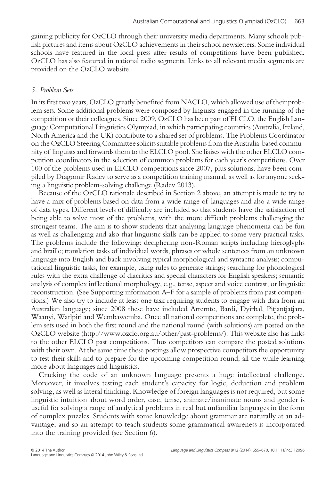gaining publicity for OzCLO through their university media departments. Many schools publish pictures and items about OzCLO achievements in their school newsletters. Some individual schools have featured in the local press after results of competitions have been published. OzCLO has also featured in national radio segments. Links to all relevant media segments are provided on the OzCLO website.

# 5. Problem Sets

In its first two years, OzCLO greatly benefited from NACLO, which allowed use of their problem sets. Some additional problems were composed by linguists engaged in the running of the competition or their colleagues. Since 2009, OzCLO has been part of ELCLO, the English Language Computational Linguistics Olympiad, in which participating countries (Australia, Ireland, North America and the UK) contribute to a shared set of problems. The Problems Coordinator on the OzCLO Steering Committee solicits suitable problems from the Australia-based community of linguists and forwards them to the ELCLO pool. She liaises with the other ELCLO competition coordinators in the selection of common problems for each year's competitions. Over 100 of the problems used in ELCLO competitions since 2007, plus solutions, have been compiled by Dragomir Radev to serve as a competition training manual, as well as for anyone seeking a linguistic problem-solving challenge (Radev 2013).

Because of the OzCLO rationale described in Section 2 above, an attempt is made to try to have a mix of problems based on data from a wide range of languages and also a wide range of data types. Different levels of difficulty are included so that students have the satisfaction of being able to solve most of the problems, with the more difficult problems challenging the strongest teams. The aim is to show students that analysing language phenomena can be fun as well as challenging and also that linguistic skills can be applied to some very practical tasks. The problems include the following: deciphering non-Roman scripts including hieroglyphs and braille; translation tasks of individual words, phrases or whole sentences from an unknown language into English and back involving typical morphological and syntactic analysis; computational linguistic tasks, for example, using rules to generate strings; searching for phonological rules with the extra challenge of diacritics and special characters for English speakers; semantic analysis of complex inf lectional morphology, e.g., tense, aspect and voice contrast, or linguistic reconstruction. (See Supporting information A–F for a sample of problems from past competitions.) We also try to include at least one task requiring students to engage with data from an Australian language; since 2008 these have included Arrernte, Bardi, Dyirbal, Pitjantjatjara, Waanyi, Warlpiri and Wembawemba. Once all national competitions are complete, the problem sets used in both the first round and the national round (with solutions) are posted on the OzCLO website [\(http://www.ozclo.org.au/other/past-problems/](http://www.ozclo.org.au/other/past-problems/)). This website also has links to the other ELCLO past competitions. Thus competitors can compare the posted solutions with their own. At the same time these postings allow prospective competitors the opportunity to test their skills and to prepare for the upcoming competition round, all the while learning more about languages and linguistics.

Cracking the code of an unknown language presents a huge intellectual challenge. Moreover, it involves testing each student's capacity for logic, deduction and problem solving, as well as lateral thinking. Knowledge of foreign languages is not required, but some linguistic intuition about word order, case, tense, animate/inanimate nouns and gender is useful for solving a range of analytical problems in real but unfamiliar languages in the form of complex puzzles. Students with some knowledge about grammar are naturally at an advantage, and so an attempt to teach students some grammatical awareness is incorporated into the training provided (see Section 6).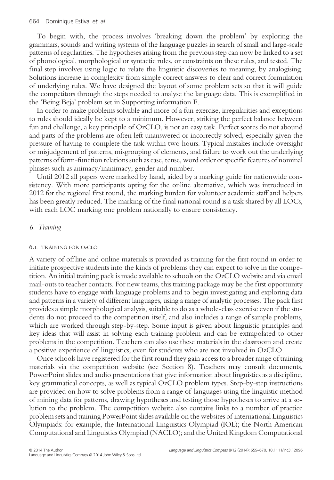To begin with, the process involves 'breaking down the problem' by exploring the grammars, sounds and writing systems of the language puzzles in search of small and large-scale patterns of regularities. The hypotheses arising from the previous step can now be linked to a set of phonological, morphological or syntactic rules, or constraints on these rules, and tested. The final step involves using logic to relate the linguistic discoveries to meaning, by analogising. Solutions increase in complexity from simple correct answers to clear and correct formulation of underlying rules. We have designed the layout of some problem sets so that it will guide the competitors through the steps needed to analyse the language data. This is exemplified in the 'Being Beja' problem set in Supporting information E.

In order to make problems solvable and more of a fun exercise, irregularities and exceptions to rules should ideally be kept to a minimum. However, striking the perfect balance between fun and challenge, a key principle of OzCLO, is not an easy task. Perfect scores do not abound and parts of the problems are often left unanswered or incorrectly solved, especially given the pressure of having to complete the task within two hours. Typical mistakes include oversight or misjudgement of patterns, misgrouping of elements, and failure to work out the underlying patterns of form-function relations such as case, tense, word order or specific features of nominal phrases such as animacy/inanimacy, gender and number.

Until 2012 all papers were marked by hand, aided by a marking guide for nationwide consistency. With more participants opting for the online alternative, which was introduced in 2012 for the regional first round, the marking burden for volunteer academic staff and helpers has been greatly reduced. The marking of the final national round is a task shared by all LOCs, with each LOC marking one problem nationally to ensure consistency.

## 6. Training

#### 6.1. TRAINING FOR OzCLO

A variety of off line and online materials is provided as training for the first round in order to initiate prospective students into the kinds of problems they can expect to solve in the competition. An initial training pack is made available to schools on the OzCLO website and via email mail-outs to teacher contacts. For new teams, this training package may be the first opportunity students have to engage with language problems and to begin investigating and exploring data and patterns in a variety of different languages, using a range of analytic processes. The pack first provides a simple morphological analysis, suitable to do as a whole-class exercise even if the students do not proceed to the competition itself, and also includes a range of sample problems, which are worked through step-by-step. Some input is given about linguistic principles and key ideas that will assist in solving each training problem and can be extrapolated to other problems in the competition. Teachers can also use these materials in the classroom and create a positive experience of linguistics, even for students who are not involved in OzCLO.

Once schools have registered for the first round they gain access to a broader range of training materials via the competition website (see Section 8). Teachers may consult documents, PowerPoint slides and audio presentations that give information about linguistics as a discipline, key grammatical concepts, as well as typical OzCLO problem types. Step-by-step instructions are provided on how to solve problems from a range of languages using the linguistic method of mining data for patterns, drawing hypotheses and testing those hypotheses to arrive at a solution to the problem. The competition website also contains links to a number of practice problem sets and training PowerPoint slides available on the websites of international Linguistics Olympiads: for example, the International Linguistics Olympiad (IOL); the North American Computational and Linguistics Olympiad (NACLO); and the United Kingdom Computational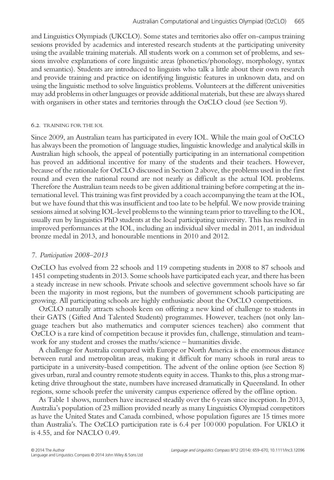and Linguistics Olympiads (UKCLO). Some states and territories also offer on-campus training sessions provided by academics and interested research students at the participating university using the available training materials. All students work on a common set of problems, and sessions involve explanations of core linguistic areas (phonetics/phonology, morphology, syntax and semantics). Students are introduced to linguists who talk a little about their own research and provide training and practice on identifying linguistic features in unknown data, and on using the linguistic method to solve linguistics problems. Volunteers at the different universities may add problems in other languages or provide additional materials, but these are always shared with organisers in other states and territories through the OzCLO cloud (see Section 9).

#### 6.2. TRAINING FOR THE IOL

Since 2009, an Australian team has participated in every IOL. While the main goal of OzCLO has always been the promotion of language studies, linguistic knowledge and analytical skills in Australian high schools, the appeal of potentially participating in an international competition has proved an additional incentive for many of the students and their teachers. However, because of the rationale for OzCLO discussed in Section 2 above, the problems used in the first round and even the national round are not nearly as difficult as the actual IOL problems. Therefore the Australian team needs to be given additional training before competing at the international level. This training was first provided by a coach accompanying the team at the IOL, but we have found that this was insufficient and too late to be helpful. We now provide training sessions aimed at solving IOL-level problems to the winning team prior to travelling to the IOL, usually run by linguistics PhD students at the local participating university. This has resulted in improved performances at the IOL, including an individual silver medal in 2011, an individual bronze medal in 2013, and honourable mentions in 2010 and 2012.

## 7. Participation 2008–2013

OzCLO has evolved from 22 schools and 119 competing students in 2008 to 87 schools and 1451 competing students in 2013. Some schools have participated each year, and there has been a steady increase in new schools. Private schools and selective government schools have so far been the majority in most regions, but the numbers of government schools participating are growing. All participating schools are highly enthusiastic about the OzCLO competitions.

OzCLO naturally attracts schools keen on offering a new kind of challenge to students in their GATS ( Gifted And Talented Students) programmes. However, teachers (not only language teachers but also mathematics and computer sciences teachers) also comment that OzCLO is a rare kind of competition because it provides fun, challenge, stimulation and teamwork for any student and crosses the maths/science – humanities divide.

A challenge for Australia compared with Europe or North America is the enormous distance between rural and metropolitan areas, making it difficult for many schools in rural areas to participate in a university-based competition. The advent of the online option (see Section 8) gives urban, rural and country remote students equity in access. Thanks to this, plus a strong marketing drive throughout the state, numbers have increased dramatically in Queensland. In other regions, some schools prefer the university campus experience offered by the off line option.

As Table 1 shows, numbers have increased steadily over the 6 years since inception. In 2013, Australia's population of 23 million provided nearly as many Linguistics Olympiad competitors as have the United States and Canada combined, whose population figures are 15 times more than Australia's. The OzCLO participation rate is 6.4 per 100 000 population. For UKLO it is 4.55, and for NACLO 0.49.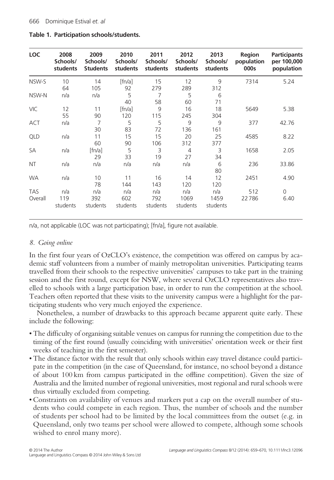| <b>LOC</b>            | 2008<br>Schools/<br>students | 2009<br>Schools/<br><b>Students</b> | 2010<br>Schools/<br>students | 2011<br>Schools/<br>students | 2012<br>Schools/<br>students | 2013<br>Schools/<br>students | Region<br>population<br>000s | <b>Participants</b><br>per 100,000<br>population |
|-----------------------|------------------------------|-------------------------------------|------------------------------|------------------------------|------------------------------|------------------------------|------------------------------|--------------------------------------------------|
| NSW-S                 | 10<br>64                     | 14<br>105                           | [fn/a]<br>92                 | 15<br>279                    | 12<br>289                    | 9<br>312                     | 7314                         | 5.24                                             |
| NSW-N                 | n/a                          | n/a                                 | 5<br>40                      | 7<br>58                      | 5<br>60                      | 6<br>71                      |                              |                                                  |
| <b>VIC</b>            | 12<br>55                     | 11<br>90                            | [fn/a]<br>120                | 9<br>115                     | 16<br>245                    | 18<br>304                    | 5649                         | 5.38                                             |
| <b>ACT</b>            | n/a                          | 7<br>30                             | 5<br>83                      | 5<br>72                      | 9<br>136                     | 9<br>161                     | 377                          | 42.76                                            |
| <b>QLD</b>            | n/a                          | 11<br>60                            | 15<br>90                     | 15<br>106                    | 20<br>312                    | 25<br>377                    | 4585                         | 8.22                                             |
| SA                    | n/a                          | [fn/a]<br>29                        | 5<br>33                      | 3<br>19                      | $\overline{4}$<br>27         | 3<br>34                      | 1658                         | 2.05                                             |
| <b>NT</b>             | n/a                          | n/a                                 | n/a                          | n/a                          | n/a                          | 6<br>80                      | 236                          | 33.86                                            |
| <b>WA</b>             | n/a                          | 10<br>78                            | 11<br>144                    | 16<br>143                    | 14<br>120                    | 12<br>120                    | 2451                         | 4.90                                             |
| <b>TAS</b><br>Overall | n/a<br>119<br>students       | n/a<br>392<br>students              | n/a<br>602<br>students       | n/a<br>792<br>students       | n/a<br>1069<br>students      | n/a<br>1459<br>students      | 512<br>22786                 | $\overline{0}$<br>6.40                           |

#### Table 1. Participation schools/students.

n/a, not applicable (LOC was not participating); [fn/a], figure not available.

## 8. Going online

In the first four years of OzCLO's existence, the competition was offered on campus by academic staff volunteers from a number of mainly metropolitan universities. Participating teams travelled from their schools to the respective universities' campuses to take part in the training session and the first round, except for NSW, where several OzCLO representatives also travelled to schools with a large participation base, in order to run the competition at the school. Teachers often reported that these visits to the university campus were a highlight for the participating students who very much enjoyed the experience.

Nonetheless, a number of drawbacks to this approach became apparent quite early. These include the following:

- The difficulty of organising suitable venues on campus for running the competition due to the timing of the first round (usually coinciding with universities' orientation week or their first weeks of teaching in the first semester).
- The distance factor with the result that only schools within easy travel distance could participate in the competition (in the case of Queensland, for instance, no school beyond a distance of about 100 km from campus participated in the offline competition). Given the size of Australia and the limited number of regional universities, most regional and rural schools were thus virtually excluded from competing.
- Constraints on availability of venues and markers put a cap on the overall number of students who could compete in each region. Thus, the number of schools and the number of students per school had to be limited by the local committees from the outset (e.g. in Queensland, only two teams per school were allowed to compete, although some schools wished to enrol many more).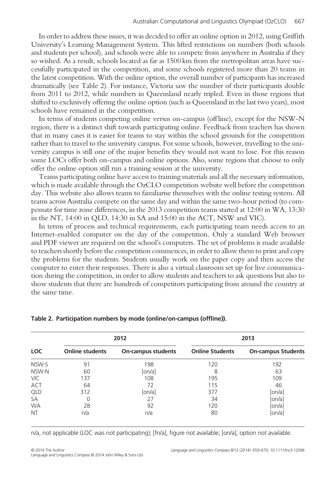In order to address these issues, it was decided to offer an online option in 2012, using Griffith University's Learning Management System. This lifted restrictions on numbers (both schools and students per school), and schools were able to compete from anywhere in Australia if they so wished. As a result, schools located as far as 1500 km from the metropolitan areas have successfully participated in the competition, and some schools registered more than 20 teams in the latest competition. With the online option, the overall number of participants has increased dramatically (see Table 2). For instance, Victoria saw the number of their participants double from 2011 to 2012, while numbers in Queensland nearly tripled. Even in those regions that shifted to exclusively offering the online option (such as Queensland in the last two years), most schools have remained in the competition.

In terms of students competing online versus on-campus (offline), except for the NSW-N region, there is a distinct shift towards participating online. Feedback from teachers has shown that in many cases it is easier for teams to stay within the school grounds for the competition rather than to travel to the university campus. For some schools, however, travelling to the university campus is still one of the major benefits they would not want to lose. For this reason some LOCs offer both on-campus and online options. Also, some regions that choose to only offer the online option still run a training session at the university.

Teams participating online have access to training materials and all the necessary information, which is made available through the OzCLO competition website well before the competition day. This website also allows teams to familiarise themselves with the online testing system. All teams across Australia compete on the same day and within the same two-hour period (to compensate for time zone differences, in the 2013 competition teams started at 12:00 in WA, 13:30 in the NT, 14:00 in QLD, 14:30 in SA and 15:00 in the ACT, NSW and VIC).

In terms of process and technical requirements, each participating team needs access to an Internet-enabled computer on the day of the competition. Only a standard Web browser and PDF viewer are required on the school's computers. The set of problems is made available to teachers shortly before the competition commences, in order to allow them to print and copy the problems for the students. Students usually work on the paper copy and then access the computer to enter their responses. There is also a virtual classroom set up for live communication during the competition, in order to allow students and teachers to ask questions but also to show students that there are hundreds of competitors participating from around the country at the same time.

|            |                        | 2012                      | 2013                   |                           |  |
|------------|------------------------|---------------------------|------------------------|---------------------------|--|
| <b>LOC</b> | <b>Online students</b> | <b>On-campus students</b> | <b>Online Students</b> | <b>On-campus Students</b> |  |
| NSW-S      | 91                     | 198                       | 120                    | 192                       |  |
| NSW-N      | 60                     | [on/a]                    | 8                      | 63                        |  |
| <b>VIC</b> | 137                    | 108                       | 195                    | 109                       |  |
| <b>ACT</b> | 64                     | 72                        | 115                    | 46                        |  |
| QLD        | 312                    | [on/a]                    | 377                    | [on/a]                    |  |
| SA         |                        | 27                        | 34                     | [on/a]                    |  |
| <b>WA</b>  | 28                     | 92                        | 120                    | [on/a]                    |  |
| <b>NT</b>  | n/a                    | n/a                       | 80                     | [on/a]                    |  |

#### Table 2. Participation numbers by mode (online/on-campus (offline)).

n/a, not applicable (LOC was not participating); [fn/a], figure not available; [on/a], option not available.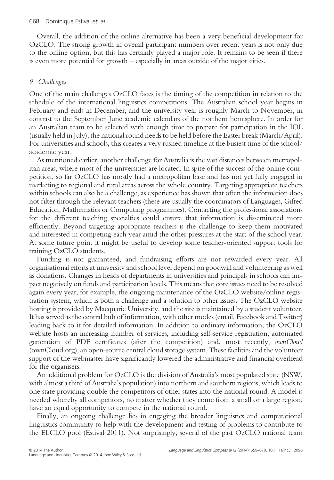Overall, the addition of the online alternative has been a very beneficial development for OzCLO. The strong growth in overall participant numbers over recent years is not only due to the online option, but this has certainly played a major role. It remains to be seen if there is even more potential for growth – especially in areas outside of the major cities.

# 9. Challenges

One of the main challenges OzCLO faces is the timing of the competition in relation to the schedule of the international linguistics competitions. The Australian school year begins in February and ends in December, and the university year is roughly March to November, in contrast to the September–June academic calendars of the northern hemisphere. In order for an Australian team to be selected with enough time to prepare for participation in the IOL (usually held in July), the national round needs to be held before the Easter break (March/April). For universities and schools, this creates a very rushed timeline at the busiest time of the school/ academic year.

As mentioned earlier, another challenge for Australia is the vast distances between metropolitan areas, where most of the universities are located. In spite of the success of the online competition, so far OzCLO has mostly had a metropolitan base and has not yet fully engaged in marketing to regional and rural areas across the whole country. Targeting appropriate teachers within schools can also be a challenge, as experience has shown that often the information does not filter through the relevant teachers (these are usually the coordinators of Languages, Gifted Education, Mathematics or Computing programmes). Contacting the professional associations for the different teaching specialties could ensure that information is disseminated more efficiently. Beyond targeting appropriate teachers is the challenge to keep them motivated and interested in competing each year amid the other pressures at the start of the school year. At some future point it might be useful to develop some teacher-oriented support tools for training OzCLO students.

Funding is not guaranteed, and fundraising efforts are not rewarded every year. All organisational efforts at university and school level depend on goodwill and volunteering as well as donations. Changes in heads of departments in universities and principals in schools can impact negatively on funds and participation levels. This means that core issues need to be resolved again every year, for example, the ongoing maintenance of the OzCLO website/online registration system, which is both a challenge and a solution to other issues. The OzCLO website hosting is provided by Macquarie University, and the site is maintained by a student volunteer. It has served as the central hub of information, with other modes (email, Facebook and Twitter) leading back to it for detailed information. In addition to ordinary information, the OzCLO website hosts an increasing number of services, including self-service registration, automated generation of PDF certificates (after the competition) and, most recently, ownCloud [\(ownCloud.org\)](http://ownCloud.org), an open-source central cloud storage system. These facilities and the volunteer support of the webmaster have significantly lowered the administrative and financial overhead for the organisers.

An additional problem for OzCLO is the division of Australia's most populated state (NSW, with almost a third of Australia's population) into northern and southern regions, which leads to one state providing double the competitors of other states into the national round. A model is needed whereby all competitors, no matter whether they come from a small or a large region, have an equal opportunity to compete in the national round.

Finally, an ongoing challenge lies in engaging the broader linguistics and computational linguistics community to help with the development and testing of problems to contribute to the ELCLO pool (Estival 2011). Not surprisingly, several of the past OzCLO national team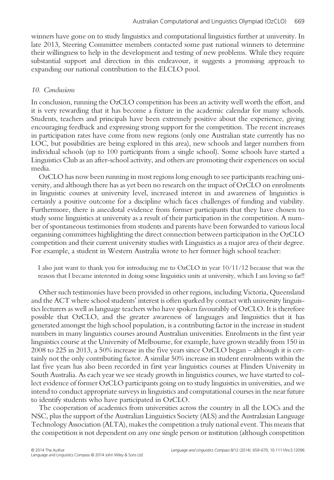winners have gone on to study linguistics and computational linguistics further at university. In late 2013, Steering Committee members contacted some past national winners to determine their willingness to help in the development and testing of new problems. While they require substantial support and direction in this endeavour, it suggests a promising approach to expanding our national contribution to the ELCLO pool.

# 10. Conclusions

In conclusion, running the OzCLO competition has been an activity well worth the effort, and it is very rewarding that it has become a fixture in the academic calendar for many schools. Students, teachers and principals have been extremely positive about the experience, giving encouraging feedback and expressing strong support for the competition. The recent increases in participation rates have come from new regions (only one Australian state currently has no LOC, but possibilities are being explored in this area), new schools and larger numbers from individual schools (up to 100 participants from a single school). Some schools have started a Linguistics Club as an after-school activity, and others are promoting their experiences on social media.

OzCLO has now been running in most regions long enough to see participants reaching university, and although there has as yet been no research on the impact of OzCLO on enrolments in linguistic courses at university level, increased interest in and awareness of linguistics is certainly a positive outcome for a discipline which faces challenges of funding and viability. Furthermore, there is anecdotal evidence from former participants that they have chosen to study some linguistics at university as a result of their participation in the competition. A number of spontaneous testimonies from students and parents have been forwarded to various local organising committees highlighting the direct connection between participation in the OzCLO competition and their current university studies with Linguistics as a major area of their degree. For example, a student in Western Australia wrote to her former high school teacher:

I also just want to thank you for introducing me to OzCLO in year 10/11/12 because that was the reason that I became interested in doing some linguistics units at university, which I am loving so far!!

Other such testimonies have been provided in other regions, including Victoria, Queensland and the ACT where school students' interest is often sparked by contact with university linguistics lecturers as well as language teachers who have spoken favourably of OzCLO. It is therefore possible that OzCLO, and the greater awareness of languages and linguistics that it has generated amongst the high school population, is a contributing factor in the increase in student numbers in many linguistics courses around Australian universities. Enrolments in the first year linguistics course at the University of Melbourne, for example, have grown steadily from 150 in 2008 to 225 in 2013, a 50% increase in the five years since OzCLO began – although it is certainly not the only contributing factor. A similar 50% increase in student enrolments within the last five years has also been recorded in first year linguistics courses at Flinders University in South Australia. As each year we see steady growth in linguistics courses, we have started to collect evidence of former OzCLO participants going on to study linguistics in universities, and we intend to conduct appropriate surveys in linguistics and computational courses in the near future to identify students who have participated in OzCLO.

The cooperation of academics from universities across the country in all the LOCs and the NSC, plus the support of the Australian Linguistics Society (ALS) and the Australasian Language Technology Association (ALTA), makes the competition a truly national event. This means that the competition is not dependent on any one single person or institution (although competition